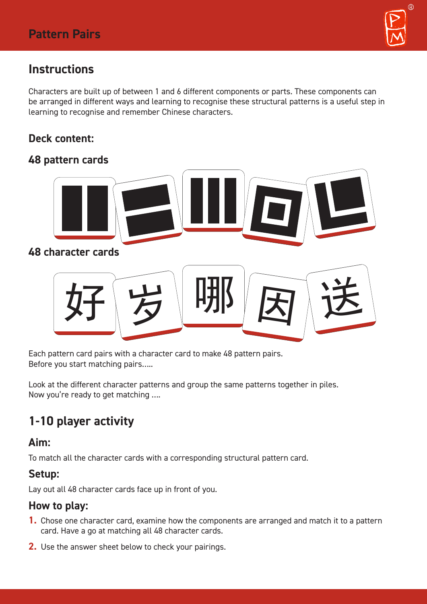

# **Instructions**

Characters are built up of between 1 and 6 different components or parts. These components can be arranged in different ways and learning to recognise these structural patterns is a useful step in learning to recognise and remember Chinese characters.

## **Deck content:**

## **48 pattern cards**



### **48 character cards**



Each pattern card pairs with a character card to make 48 pattern pairs. Before you start matching pairs…..

Look at the different character patterns and group the same patterns together in piles. Now you're ready to get matching ….

# **1-10 player activity**

### **Aim:**

To match all the character cards with a corresponding structural pattern card.

### **Setup:**

Lay out all 48 character cards face up in front of you.

#### **How to play:**

- **1.** Chose one character card, examine how the components are arranged and match it to a pattern card. Have a go at matching all 48 character cards.
- **2.** Use the answer sheet below to check your pairings.